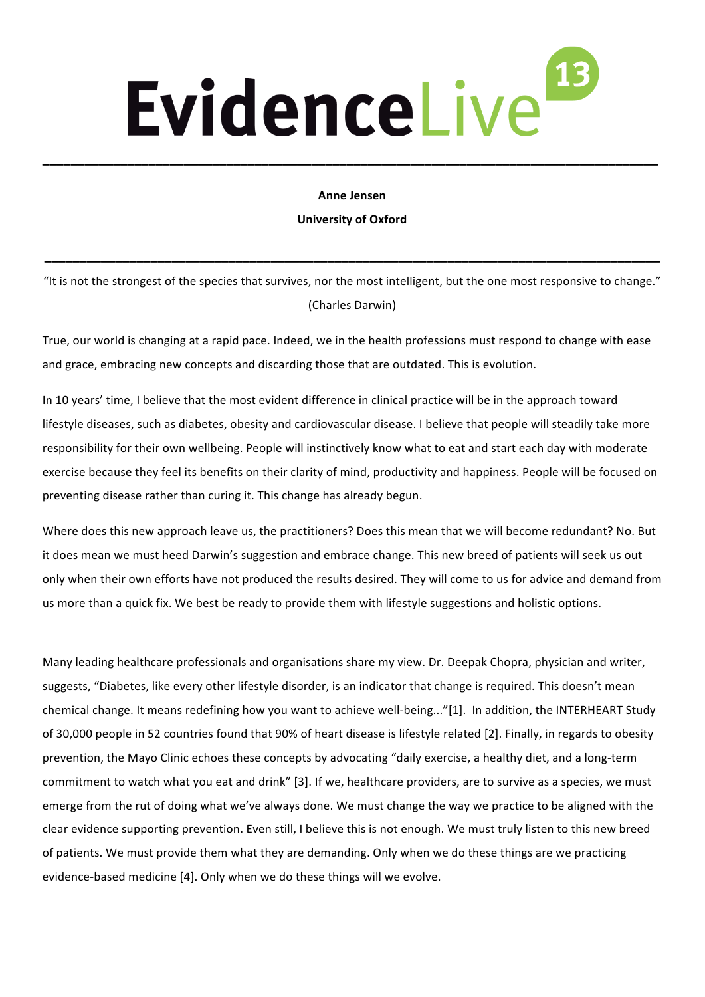## EvidenceLive

## **Anne Jensen**

**\_\_\_\_\_\_\_\_\_\_\_\_\_\_\_\_\_\_\_\_\_\_\_\_\_\_\_\_\_\_\_\_\_\_\_\_\_\_\_\_\_\_\_\_\_\_\_\_\_\_\_\_\_\_\_\_\_\_\_\_\_\_\_\_\_\_\_\_\_\_\_\_\_\_\_\_\_\_\_\_\_\_\_\_\_\_\_**

**University of Oxford**

"It is not the strongest of the species that survives, nor the most intelligent, but the one most responsive to change." (Charles Darwin)

**\_\_\_\_\_\_\_\_\_\_\_\_\_\_\_\_\_\_\_\_\_\_\_\_\_\_\_\_\_\_\_\_\_\_\_\_\_\_\_\_\_\_\_\_\_\_\_\_\_\_\_\_\_\_\_\_\_\_\_\_\_\_\_\_\_\_\_\_\_\_\_\_\_\_\_\_\_\_\_\_\_\_\_\_\_\_\_**

True, our world is changing at a rapid pace. Indeed, we in the health professions must respond to change with ease and grace, embracing new concepts and discarding those that are outdated. This is evolution.

In 10 years' time, I believe that the most evident difference in clinical practice will be in the approach toward lifestyle diseases, such as diabetes, obesity and cardiovascular disease. I believe that people will steadily take more responsibility for their own wellbeing. People will instinctively know what to eat and start each day with moderate exercise because they feel its benefits on their clarity of mind, productivity and happiness. People will be focused on preventing disease rather than curing it. This change has already begun.

Where does this new approach leave us, the practitioners? Does this mean that we will become redundant? No. But it does mean we must heed Darwin's suggestion and embrace change. This new breed of patients will seek us out only when their own efforts have not produced the results desired. They will come to us for advice and demand from us more than a quick fix. We best be ready to provide them with lifestyle suggestions and holistic options.

Many leading healthcare professionals and organisations share my view. Dr. Deepak Chopra, physician and writer, suggests, "Diabetes, like every other lifestyle disorder, is an indicator that change is required. This doesn't mean chemical change. It means redefining how you want to achieve well-being..."[1]. In addition, the INTERHEART Study of 30,000 people in 52 countries found that 90% of heart disease is lifestyle related [2]. Finally, in regards to obesity prevention, the Mayo Clinic echoes these concepts by advocating "daily exercise, a healthy diet, and a long-term commitment to watch what you eat and drink" [3]. If we, healthcare providers, are to survive as a species, we must emerge from the rut of doing what we've always done. We must change the way we practice to be aligned with the clear evidence supporting prevention. Even still, I believe this is not enough. We must truly listen to this new breed of patients. We must provide them what they are demanding. Only when we do these things are we practicing evidence-based medicine [4]. Only when we do these things will we evolve.